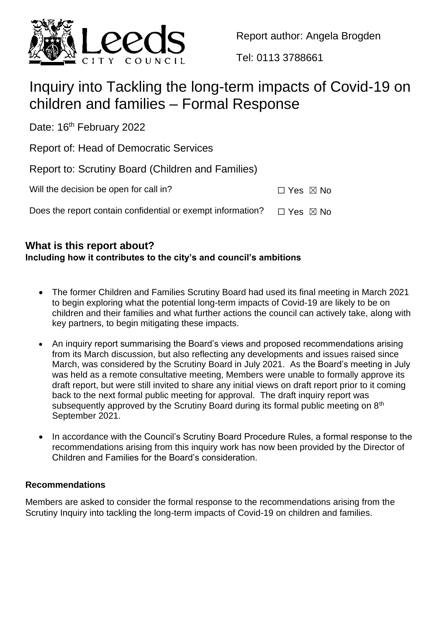

Report author: Angela Brogden

Tel: 0113 3788661

# Inquiry into Tackling the long-term impacts of Covid-19 on children and families – Formal Response

Date: 16<sup>th</sup> February 2022

Report of: Head of Democratic Services

| Report to: Scrutiny Board (Children and Families) |  |  |  |
|---------------------------------------------------|--|--|--|
|                                                   |  |  |  |

| Will the decision be open for call in?                      | $\Box$ Yes $\boxtimes$ No |  |
|-------------------------------------------------------------|---------------------------|--|
| Does the report contain confidential or exempt information? | $\Box$ Yes $\boxtimes$ No |  |

## **What is this report about?**

## **Including how it contributes to the city's and council's ambitions**

- The former Children and Families Scrutiny Board had used its final meeting in March 2021 to begin exploring what the potential long-term impacts of Covid-19 are likely to be on children and their families and what further actions the council can actively take, along with key partners, to begin mitigating these impacts.
- An inquiry report summarising the Board's views and proposed recommendations arising from its March discussion, but also reflecting any developments and issues raised since March, was considered by the Scrutiny Board in July 2021. As the Board's meeting in July was held as a remote consultative meeting, Members were unable to formally approve its draft report, but were still invited to share any initial views on draft report prior to it coming back to the next formal public meeting for approval. The draft inquiry report was subsequently approved by the Scrutiny Board during its formal public meeting on 8<sup>th</sup> September 2021.
- In accordance with the Council's Scrutiny Board Procedure Rules, a formal response to the recommendations arising from this inquiry work has now been provided by the Director of Children and Families for the Board's consideration.

## **Recommendations**

Members are asked to consider the formal response to the recommendations arising from the Scrutiny Inquiry into tackling the long-term impacts of Covid-19 on children and families.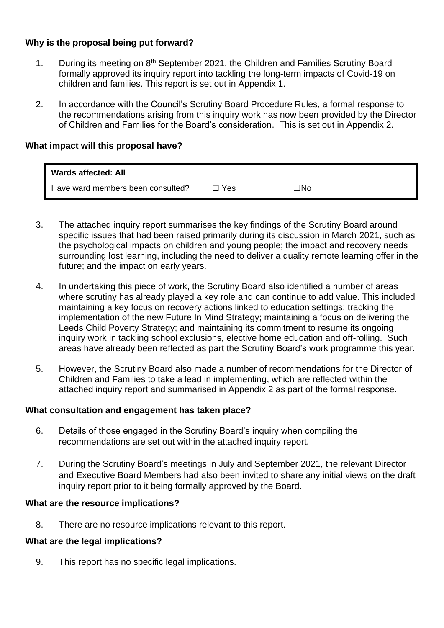## **Why is the proposal being put forward?**

- 1. During its meeting on 8<sup>th</sup> September 2021, the Children and Families Scrutiny Board formally approved its inquiry report into tackling the long-term impacts of Covid-19 on children and families. This report is set out in Appendix 1.
- 2. In accordance with the Council's Scrutiny Board Procedure Rules, a formal response to the recommendations arising from this inquiry work has now been provided by the Director of Children and Families for the Board's consideration. This is set out in Appendix 2.

#### **What impact will this proposal have?**

| <b>Wards affected: All</b>        |       |     |
|-----------------------------------|-------|-----|
| Have ward members been consulted? | ∃ Yes | ⊐No |

- 3. The attached inquiry report summarises the key findings of the Scrutiny Board around specific issues that had been raised primarily during its discussion in March 2021, such as the psychological impacts on children and young people; the impact and recovery needs surrounding lost learning, including the need to deliver a quality remote learning offer in the future; and the impact on early years.
- 4. In undertaking this piece of work, the Scrutiny Board also identified a number of areas where scrutiny has already played a key role and can continue to add value. This included maintaining a key focus on recovery actions linked to education settings; tracking the implementation of the new Future In Mind Strategy; maintaining a focus on delivering the Leeds Child Poverty Strategy; and maintaining its commitment to resume its ongoing inquiry work in tackling school exclusions, elective home education and off-rolling. Such areas have already been reflected as part the Scrutiny Board's work programme this year.
- 5. However, the Scrutiny Board also made a number of recommendations for the Director of Children and Families to take a lead in implementing, which are reflected within the attached inquiry report and summarised in Appendix 2 as part of the formal response.

#### **What consultation and engagement has taken place?**

- 6. Details of those engaged in the Scrutiny Board's inquiry when compiling the recommendations are set out within the attached inquiry report.
- 7. During the Scrutiny Board's meetings in July and September 2021, the relevant Director and Executive Board Members had also been invited to share any initial views on the draft inquiry report prior to it being formally approved by the Board.

#### **What are the resource implications?**

8. There are no resource implications relevant to this report.

#### **What are the legal implications?**

9. This report has no specific legal implications.